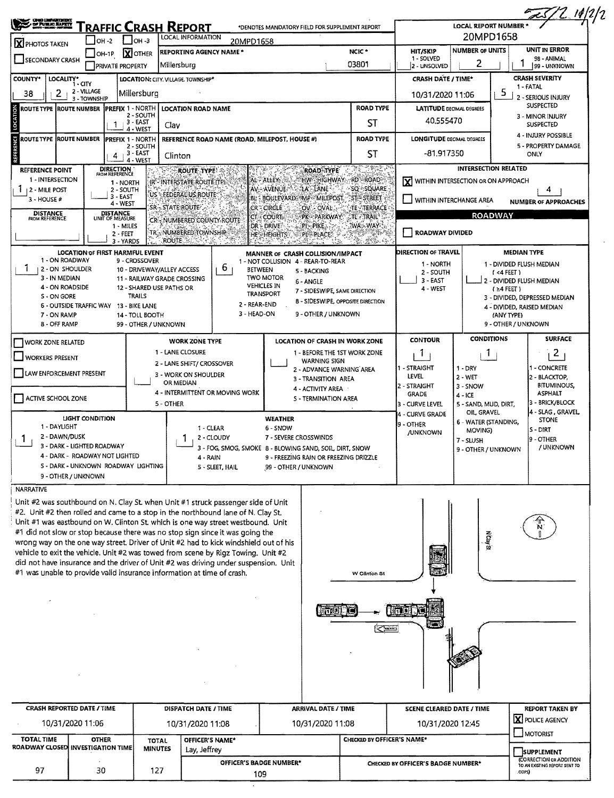| <b>CINED AMPARTMENT</b><br>OF PUBLIC BAPETY                                                                                                                      |                                                            |                                          |                                | Traffic Crash Report                            |                                 | *DENOTES MANDATORY FIELD FOR SUPPLEMENT REPORT         |                                              |                                   |                                     | <b>LOCAL REPORT NUMBER *</b>                                      |                                        | <u> LS/2 19/2/2</u>                                                                 |  |  |
|------------------------------------------------------------------------------------------------------------------------------------------------------------------|------------------------------------------------------------|------------------------------------------|--------------------------------|-------------------------------------------------|---------------------------------|--------------------------------------------------------|----------------------------------------------|-----------------------------------|-------------------------------------|-------------------------------------------------------------------|----------------------------------------|-------------------------------------------------------------------------------------|--|--|
|                                                                                                                                                                  | $I$ OH -2                                                  | $L$ oH -3                                |                                | LOCAL INFORMATION                               | 20MPD1658                       |                                                        |                                              |                                   |                                     | 20MPD1658                                                         |                                        |                                                                                     |  |  |
| X PHOTOS TAKEN                                                                                                                                                   |                                                            | <b>X</b> OTHER                           |                                | REPORTING AGENCY NAME *                         |                                 |                                                        |                                              | NCIC <sup>*</sup>                 | <b>HIT/SKIP</b>                     | <b>NUMBER OF UNITS</b>                                            |                                        | UNIT IN ERROR                                                                       |  |  |
| SECONDARY CRASH                                                                                                                                                  | $OH-1P$                                                    | <b>PRIVATE PROPERTY</b>                  |                                | Millersburg                                     |                                 |                                                        |                                              | 03801                             | 1 - SOLVED<br>2 - UNSOLVED          | 2                                                                 |                                        | 98 - ANIMAL<br>99 - UNKNOWN                                                         |  |  |
| <b>COUNTY*</b><br>LOCALITY*                                                                                                                                      | i - aty                                                    |                                          |                                | LOCATION: CITY, VILLAGE, TOWNSHIP*              |                                 |                                                        |                                              |                                   | <b>CRASH DATE / TIME*</b>           |                                                                   |                                        | <b>CRASH SEVERITY</b>                                                               |  |  |
| 2<br>38                                                                                                                                                          | 2 - VILLAGE<br>3 - TOWNSHIP                                | Millersburg                              |                                |                                                 |                                 |                                                        |                                              |                                   | 10/31/2020 11:06                    |                                                                   | 5                                      | 1 - FATAL<br>2 - SERIOUS INJURY                                                     |  |  |
| ROUTE TYPE  ROUTE NUMBER                                                                                                                                         |                                                            | <b>IPREFIX 1 - NORTH</b>                 |                                | <b>LOCATION ROAD NAME</b>                       |                                 |                                                        |                                              | <b>ROAD TYPE</b>                  | <b>LATITUDE DECIMAL DEGREES</b>     |                                                                   |                                        | <b>SUSPECTED</b>                                                                    |  |  |
|                                                                                                                                                                  |                                                            | 3 - EAST<br>1.<br>4 - WEST               | 2 - SOUTH                      | Clav                                            |                                 |                                                        |                                              | ST                                | 40.555470                           |                                                                   |                                        | 3 - MINOR INJURY<br><b>SUSPECTED</b>                                                |  |  |
| ROUTE TYPE  ROUTE NUMBER                                                                                                                                         |                                                            | PREFIX 1 - NORTH                         | 2 - SOUTH                      |                                                 |                                 | REFERENCE ROAD NAME (ROAD, MILEPOST, HOUSE #)          |                                              | <b>ROAD TYPE</b>                  | <b>LONGITUDE DECIMAL DEGREES</b>    |                                                                   |                                        | 4 - INJURY POSSIBLE<br>5 - PROPERTY DAMAGE                                          |  |  |
|                                                                                                                                                                  |                                                            | 3 - EAST<br>4<br>4 - WEST                |                                | Clinton                                         |                                 |                                                        |                                              | ST                                | -81.917350                          |                                                                   |                                        | ONLY                                                                                |  |  |
| REFERENCE POINT<br>1 - INTERSECTION                                                                                                                              |                                                            | <b>DIRECTION</b>                         |                                | <b>ROUTE TYPE!</b><br>IR'-INTERSTATE ROUTE (TP) |                                 | AL - ALLEY                                             | <b>ROAD TYPE</b><br><b>CHWEHIGHWAY</b>       | -1942.<br><b>RD'-ROAD</b>         | IXI                                 | <b>INTERSECTION RELATED</b><br>WITHIN INTERSECTION OR ON APPROACH |                                        |                                                                                     |  |  |
| <b>2 - MILE POST</b>                                                                                                                                             |                                                            | 1 - NORTH<br>2 - SOUTH<br>$3 - EAST$     |                                | US - FEDERACIUS ROUTE                           |                                 | AV-AVENUE                                              | LA LANE                                      | SO SQUARE                         |                                     |                                                                   |                                        |                                                                                     |  |  |
| 3 - HOUSE #<br><b>DISTANCE</b>                                                                                                                                   |                                                            | 4 - WEST                                 |                                | SR-STATE ROUTE                                  |                                 | BL - BOULEVARD, IMP - MILEPOST.<br>CRE CIRCLE          | OV - OVAL.                                   | ST STREET<br>TE TERRACE           |                                     | WITHIN INTERCHANGE AREA                                           |                                        | <b>NUMBER OF APPROACHES</b>                                                         |  |  |
| FROM REFERENCE                                                                                                                                                   |                                                            | DISTANCE<br>UNIT OF MEASURE<br>1 - MILES |                                | CR-NUMBERED COUNTY ROUTE                        | СT,                             | <b>COURT-</b><br>DR - DRIVE                            | PK-PARKWAY<br>$PI - PIKE$                    | <b>CTE PITRAIL</b><br>WA: WAY     |                                     |                                                                   | <b>ROADWAY</b>                         |                                                                                     |  |  |
|                                                                                                                                                                  |                                                            | $2 - FET$<br>3 - YARDS                   |                                | TR NUMBERED TOWNSHIP<br><b>ROUTE</b>            |                                 | <b>HES HEIGHTS</b>                                     | PL-PLACE:                                    | ESTANDOS.<br>燃料的                  | ROADWAY DIVIDED                     |                                                                   |                                        |                                                                                     |  |  |
|                                                                                                                                                                  | <b>LOCATION OF FIRST HARMFUL EVENT</b>                     |                                          |                                |                                                 |                                 | MANNER OF CRASH COLLISION/IMPACT                       |                                              |                                   | DIRECTION OF TRAVEL                 |                                                                   | <b>MEDIAN TYPE</b>                     |                                                                                     |  |  |
| 1 - ON ROADWAY<br><b>12-ON SHOULDER</b>                                                                                                                          |                                                            | 9 - CROSSOVER                            |                                | 10 - DRIVEWAY/ALLEY ACCESS                      | b.                              | 1 - NOT COLLISION 4 - REAR-TO-REAR<br><b>BETWEEN</b>   | 5 - BACKING                                  |                                   | 1 - NORTH                           |                                                                   | 1 - DIVIDED FLUSH MEDIAN               |                                                                                     |  |  |
| 3 - IN MEDIAN                                                                                                                                                    |                                                            |                                          |                                | 11 - RAILWAY GRADE CROSSING                     |                                 | <b>TWO MOTOR</b>                                       | 6 - ANGLE                                    |                                   | 2 - SOUTH<br>3 - EAST               |                                                                   | $(4$ FEET)<br>2 - DIVIDED FLUSH MEDIAN |                                                                                     |  |  |
| 4 - ON ROADSIDE                                                                                                                                                  |                                                            |                                          |                                | 12 - SHARED USE PATHS OR                        |                                 | <b>VEHICLES IN</b><br><b>TRANSPORT</b>                 | 7 - SIDESWIPE, SAME DIRECTION                |                                   | 4 - WEST                            |                                                                   | $(24$ FEET)                            |                                                                                     |  |  |
| S - ON GORE                                                                                                                                                      | 6 - OUTSIDE TRAFFIC WAY 13 - BIKE LANE                     | TRAILS                                   |                                |                                                 |                                 | 2 - REAR-END                                           |                                              | 8 - SIDESWIPE, OPPOSITE DIRECTION |                                     |                                                                   |                                        | 3 - DIVIDED, DEPRESSED MEDIAN<br>4 - DIVIDED, RAISED MEDIAN                         |  |  |
| 7 - ON RAMP                                                                                                                                                      |                                                            | 14 - TOLL BOOTH                          |                                |                                                 |                                 | 3 - HEAD-ON                                            | 9 - OTHER / UNKNOWN                          |                                   |                                     |                                                                   | (ANY TYPE)                             |                                                                                     |  |  |
| 8 - OFF RAMP                                                                                                                                                     |                                                            |                                          | 99 - OTHER / UNKNOWN           |                                                 |                                 |                                                        |                                              |                                   |                                     |                                                                   | 9 - OTHER / UNKNOWN                    |                                                                                     |  |  |
| <b>WORK ZONE RELATED</b>                                                                                                                                         |                                                            |                                          |                                | <b>WORK ZONE TYPE</b>                           |                                 |                                                        | <b>LOCATION OF CRASH IN WORK ZONE</b>        |                                   | <b>CONTOUR</b>                      | <b>CONDITIONS</b>                                                 |                                        | <b>SURFACE</b>                                                                      |  |  |
| <b>WORKERS PRESENT</b>                                                                                                                                           |                                                            |                                          |                                | 1 - LANE CLOSURE                                |                                 |                                                        | 1 - BEFORE THE 1ST WORK ZONE<br>WARNING SIGN |                                   | -1                                  | 1                                                                 |                                        | $\overline{2}$                                                                      |  |  |
|                                                                                                                                                                  |                                                            |                                          |                                | 2 - LANE SHIFT/ CROSSOVER                       |                                 |                                                        | 2 - ADVANCE WARNING AREA                     |                                   | 1 - STRAIGHT                        | $1 - DRY$                                                         |                                        | 1 - CONCRETE                                                                        |  |  |
| LAW ENFORCEMENT PRESENT                                                                                                                                          |                                                            |                                          |                                | 3 - WORK ON SHOULDER<br>OR MEDIAN               |                                 |                                                        | 3 - TRANSITION AREA                          |                                   | LEVEL                               | $2 - WFT$                                                         |                                        | 2 - BLACKTOP,                                                                       |  |  |
|                                                                                                                                                                  |                                                            |                                          |                                |                                                 | 4 - INTERMITTENT OR MOVING WORK |                                                        | 4 - ACTIVITY AREA                            |                                   | 2 - STRAIGHT<br>GRADE               | 3 - SNOW<br>$4 - ICE$                                             |                                        | <b>BITUMINOUS,</b><br><b>ASPHALT</b>                                                |  |  |
| ACTIVE SCHOOL ZONE                                                                                                                                               |                                                            |                                          |                                | 5 - OTHER                                       |                                 |                                                        | S - TERMINATION AREA                         |                                   | 3 - CURVE LEVEL                     | 5 - SAND, MUD, DIRT,                                              |                                        | 3 - BRICK/BLOCK                                                                     |  |  |
|                                                                                                                                                                  | <b>LIGHT CONDITION</b>                                     |                                          |                                |                                                 |                                 | <b>WEATHER</b>                                         |                                              |                                   | 4 - CURVE GRADE                     | OIL GRAVEL                                                        |                                        | 4 - SLAG, GRAVEL,<br><b>STONE</b>                                                   |  |  |
| 1 - DAYLIGHT                                                                                                                                                     |                                                            |                                          |                                |                                                 | 1 - CLEAR                       | 6 - SNOW                                               |                                              |                                   | <b>9 - OTHER</b><br><b>JUNKNOWN</b> | 6 - WATER (STANDING,<br>MOVING)                                   |                                        | S - DIRT                                                                            |  |  |
| 2 - DAWN/DUSK<br>1                                                                                                                                               |                                                            |                                          |                                |                                                 | 2 - CLOUDY                      | 7 - SEVERE CROSSWINDS                                  |                                              |                                   |                                     | 7 - SLUSH                                                         |                                        | <b>9 - OTHER</b>                                                                    |  |  |
|                                                                                                                                                                  | 3 - DARK - LIGHTED ROADWAY<br>- DARK - ROADWAY NOT LIGHTED |                                          |                                |                                                 |                                 | 3 - FOG, SMOG, SMOKE 8 - BLOWING SAND, SOIL DIRT, SNOW |                                              |                                   |                                     | 9 - OTHER / UNKNOWN                                               |                                        | / UNKNOWN                                                                           |  |  |
|                                                                                                                                                                  | S - DARK - UNKNOWN ROADWAY LIGHTING                        |                                          |                                | 4 - RAIN                                        | 5 - SLEET, HAIL                 | 99 - OTHER / UNKNOWN                                   | 9 - FREEZING RAIN OR FREEZING DRIZZLE        |                                   |                                     |                                                                   |                                        |                                                                                     |  |  |
| 9 - OTHER / UNKNOWN                                                                                                                                              |                                                            |                                          |                                |                                                 |                                 |                                                        |                                              |                                   |                                     |                                                                   |                                        |                                                                                     |  |  |
| NARRATIVE                                                                                                                                                        |                                                            |                                          |                                |                                                 |                                 |                                                        |                                              |                                   |                                     |                                                                   |                                        |                                                                                     |  |  |
| Unit #2 was southbound on N. Clay St. when Unit #1 struck passenger side of Unit                                                                                 |                                                            |                                          |                                |                                                 |                                 |                                                        |                                              |                                   |                                     |                                                                   |                                        |                                                                                     |  |  |
| #2. Unit #2 then rolled and came to a stop in the northbound lane of N. Clay St.                                                                                 |                                                            |                                          |                                |                                                 |                                 |                                                        |                                              |                                   |                                     |                                                                   |                                        |                                                                                     |  |  |
| Unit #1 was eastbound on W. Clinton St. which is one way street westbound. Unit<br>#1 did not slow or stop because there was no stop sign since it was going the |                                                            |                                          |                                |                                                 |                                 |                                                        |                                              |                                   |                                     |                                                                   |                                        |                                                                                     |  |  |
| wrong way on the one way street. Driver of Unit #2 had to kick windshield out of his                                                                             |                                                            |                                          |                                |                                                 |                                 |                                                        |                                              |                                   |                                     | <b>N</b> clay St                                                  |                                        |                                                                                     |  |  |
| vehicle to exit the vehicle. Unit #2 was towed from scene by Rigz Towing. Unit #2                                                                                |                                                            |                                          |                                |                                                 |                                 |                                                        |                                              |                                   |                                     |                                                                   |                                        |                                                                                     |  |  |
| did not have insurance and the driver of Unit #2 was driving under suspension. Unit                                                                              |                                                            |                                          |                                |                                                 |                                 |                                                        |                                              |                                   |                                     |                                                                   |                                        |                                                                                     |  |  |
| #1 was unable to provide valid insurance information at time of crash.                                                                                           |                                                            |                                          |                                |                                                 |                                 |                                                        |                                              | W Clinton St                      |                                     |                                                                   |                                        |                                                                                     |  |  |
|                                                                                                                                                                  |                                                            |                                          |                                |                                                 |                                 |                                                        |                                              |                                   |                                     |                                                                   |                                        |                                                                                     |  |  |
|                                                                                                                                                                  |                                                            |                                          |                                |                                                 |                                 |                                                        | $(07102)$ . $16$                             |                                   | <b>Trunkt</b>                       |                                                                   |                                        |                                                                                     |  |  |
|                                                                                                                                                                  |                                                            |                                          |                                |                                                 |                                 |                                                        |                                              | فتتكرج                            | a e                                 |                                                                   |                                        |                                                                                     |  |  |
|                                                                                                                                                                  |                                                            |                                          |                                |                                                 |                                 |                                                        |                                              |                                   |                                     |                                                                   |                                        |                                                                                     |  |  |
|                                                                                                                                                                  |                                                            |                                          |                                |                                                 |                                 |                                                        |                                              |                                   |                                     |                                                                   |                                        |                                                                                     |  |  |
|                                                                                                                                                                  |                                                            |                                          |                                |                                                 |                                 |                                                        |                                              |                                   |                                     |                                                                   |                                        |                                                                                     |  |  |
|                                                                                                                                                                  |                                                            |                                          |                                |                                                 |                                 |                                                        |                                              |                                   |                                     |                                                                   |                                        |                                                                                     |  |  |
|                                                                                                                                                                  |                                                            |                                          |                                |                                                 |                                 |                                                        |                                              |                                   |                                     |                                                                   |                                        |                                                                                     |  |  |
| <b>CRASH REPORTED DATE / TIME</b>                                                                                                                                |                                                            |                                          |                                | DISPATCH DATE / TIME                            |                                 |                                                        | <b>ARRIVAL DATE / TIME</b>                   |                                   | <b>SCENE CLEARED DATE / TIME</b>    |                                                                   |                                        | <b>REPORT TAKEN BY</b><br><b>X</b> POLICE AGENCY                                    |  |  |
| 10/31/2020 11:06                                                                                                                                                 |                                                            |                                          |                                | 10/31/2020 11:08                                |                                 |                                                        | 10/31/2020 11:08                             |                                   | 10/31/2020 12:45                    |                                                                   |                                        | <b>MOTORIST</b>                                                                     |  |  |
| <b>TOTAL TIME</b><br>ROADWAY CLOSED INVESTIGATION TIME                                                                                                           | <b>OTHER</b>                                               |                                          | <b>TOTAL</b><br><b>MINUTES</b> | OFFICER'S NAME*<br>Lay, Jeffrey                 |                                 |                                                        |                                              | CHECKED BY OFFICER'S NAME*        |                                     |                                                                   |                                        |                                                                                     |  |  |
|                                                                                                                                                                  |                                                            |                                          |                                |                                                 |                                 | OFFICER'S BADGE NUMBER*                                |                                              |                                   | CHECKED BY OFFICER'S BADGE NUMBER*  |                                                                   |                                        | <b>SUPPLEMENT</b><br><b>CORRECTION OR ADDITION</b><br>TO AN EXISTING REPORT SENT TO |  |  |
| 97                                                                                                                                                               | 30                                                         |                                          | 127                            |                                                 |                                 | 109                                                    |                                              |                                   |                                     |                                                                   |                                        | .oops)                                                                              |  |  |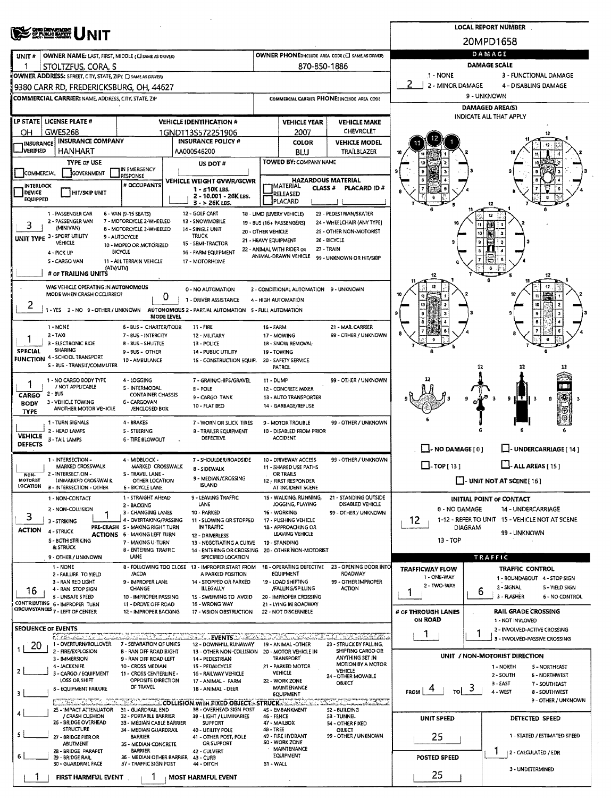| <b>CHE DEWENDER</b>                                                                                                                                                                       |                                                                                                        | <b>LOCAL REPORT NUMBER</b>                                             |                                         |                                                                                              |                                             |                                                         |                                                                                                                                                                                                                                                                                                                                                                                                                                                                                                                                                                                                                                                                                                                                                                                                                                                                                                                                                                                                                                                                                                                                                                                                                                                                                                                                                                                                                                                                                                                                                                                                                                                                                                                                                                                                                                                                                                    |                 |    |                      |  |  |  |  |
|-------------------------------------------------------------------------------------------------------------------------------------------------------------------------------------------|--------------------------------------------------------------------------------------------------------|------------------------------------------------------------------------|-----------------------------------------|----------------------------------------------------------------------------------------------|---------------------------------------------|---------------------------------------------------------|----------------------------------------------------------------------------------------------------------------------------------------------------------------------------------------------------------------------------------------------------------------------------------------------------------------------------------------------------------------------------------------------------------------------------------------------------------------------------------------------------------------------------------------------------------------------------------------------------------------------------------------------------------------------------------------------------------------------------------------------------------------------------------------------------------------------------------------------------------------------------------------------------------------------------------------------------------------------------------------------------------------------------------------------------------------------------------------------------------------------------------------------------------------------------------------------------------------------------------------------------------------------------------------------------------------------------------------------------------------------------------------------------------------------------------------------------------------------------------------------------------------------------------------------------------------------------------------------------------------------------------------------------------------------------------------------------------------------------------------------------------------------------------------------------------------------------------------------------------------------------------------------------|-----------------|----|----------------------|--|--|--|--|
|                                                                                                                                                                                           |                                                                                                        | 20MPD1658                                                              |                                         |                                                                                              |                                             |                                                         |                                                                                                                                                                                                                                                                                                                                                                                                                                                                                                                                                                                                                                                                                                                                                                                                                                                                                                                                                                                                                                                                                                                                                                                                                                                                                                                                                                                                                                                                                                                                                                                                                                                                                                                                                                                                                                                                                                    |                 |    |                      |  |  |  |  |
| UNIT#                                                                                                                                                                                     | OWNER NAME: LAST, FIRST, MIDDLE (CI SAME AS DRIVER)                                                    |                                                                        |                                         | DAMAGE                                                                                       |                                             |                                                         |                                                                                                                                                                                                                                                                                                                                                                                                                                                                                                                                                                                                                                                                                                                                                                                                                                                                                                                                                                                                                                                                                                                                                                                                                                                                                                                                                                                                                                                                                                                                                                                                                                                                                                                                                                                                                                                                                                    |                 |    |                      |  |  |  |  |
|                                                                                                                                                                                           | STOLTZFUS, CORA, S                                                                                     |                                                                        |                                         |                                                                                              |                                             | <b>DAMAGE SCALE</b>                                     |                                                                                                                                                                                                                                                                                                                                                                                                                                                                                                                                                                                                                                                                                                                                                                                                                                                                                                                                                                                                                                                                                                                                                                                                                                                                                                                                                                                                                                                                                                                                                                                                                                                                                                                                                                                                                                                                                                    |                 |    |                      |  |  |  |  |
|                                                                                                                                                                                           | OWNER ADDRESS: STREET, CITY, STATE, ZIP( E) SAME AS DRIVER)<br>9380 CARR RD, FREDERICKSBURG, OH, 44627 |                                                                        |                                         | 2<br>2 - MINOR DAMAGE                                                                        |                                             |                                                         |                                                                                                                                                                                                                                                                                                                                                                                                                                                                                                                                                                                                                                                                                                                                                                                                                                                                                                                                                                                                                                                                                                                                                                                                                                                                                                                                                                                                                                                                                                                                                                                                                                                                                                                                                                                                                                                                                                    |                 |    |                      |  |  |  |  |
|                                                                                                                                                                                           | <b>COMMERCIAL CARRIER: NAME, ADDRESS, CITY, STATE, ZIP</b>                                             |                                                                        |                                         |                                                                                              | COMMERCIAL CARRIER PHONE: INCLUDE AREA CODE |                                                         |                                                                                                                                                                                                                                                                                                                                                                                                                                                                                                                                                                                                                                                                                                                                                                                                                                                                                                                                                                                                                                                                                                                                                                                                                                                                                                                                                                                                                                                                                                                                                                                                                                                                                                                                                                                                                                                                                                    | 9 - UNKNOWN     |    |                      |  |  |  |  |
|                                                                                                                                                                                           |                                                                                                        |                                                                        |                                         |                                                                                              |                                             |                                                         |                                                                                                                                                                                                                                                                                                                                                                                                                                                                                                                                                                                                                                                                                                                                                                                                                                                                                                                                                                                                                                                                                                                                                                                                                                                                                                                                                                                                                                                                                                                                                                                                                                                                                                                                                                                                                                                                                                    |                 |    |                      |  |  |  |  |
|                                                                                                                                                                                           | LP STATE   LICENSE PLATE #                                                                             |                                                                        |                                         | <b>VEHICLE IDENTIFICATION #</b>                                                              |                                             | <b>VEHICLE YEAR</b>                                     | <b>VEHICLE MAKE</b>                                                                                                                                                                                                                                                                                                                                                                                                                                                                                                                                                                                                                                                                                                                                                                                                                                                                                                                                                                                                                                                                                                                                                                                                                                                                                                                                                                                                                                                                                                                                                                                                                                                                                                                                                                                                                                                                                |                 |    |                      |  |  |  |  |
| OН                                                                                                                                                                                        | GWE5268<br><b>INSURANCE COMPANY</b>                                                                    | 1GNDT13S572251906<br><b>INSURANCE POLICY #</b>                         |                                         | 2007                                                                                         |                                             |                                                         |                                                                                                                                                                                                                                                                                                                                                                                                                                                                                                                                                                                                                                                                                                                                                                                                                                                                                                                                                                                                                                                                                                                                                                                                                                                                                                                                                                                                                                                                                                                                                                                                                                                                                                                                                                                                                                                                                                    |                 |    |                      |  |  |  |  |
| <b>INSURANCE</b><br><b>IVERIFIED</b>                                                                                                                                                      | <b>HANHART</b>                                                                                         |                                                                        |                                         | AA000546200                                                                                  |                                             | <b>COLOR</b><br>BLU                                     | TRAILBLAZER                                                                                                                                                                                                                                                                                                                                                                                                                                                                                                                                                                                                                                                                                                                                                                                                                                                                                                                                                                                                                                                                                                                                                                                                                                                                                                                                                                                                                                                                                                                                                                                                                                                                                                                                                                                                                                                                                        |                 |    |                      |  |  |  |  |
|                                                                                                                                                                                           | <b>TYPE OF USE</b>                                                                                     |                                                                        |                                         | US DOT#                                                                                      |                                             | <b>TOWED BY: COMPANY NAME</b>                           |                                                                                                                                                                                                                                                                                                                                                                                                                                                                                                                                                                                                                                                                                                                                                                                                                                                                                                                                                                                                                                                                                                                                                                                                                                                                                                                                                                                                                                                                                                                                                                                                                                                                                                                                                                                                                                                                                                    |                 |    |                      |  |  |  |  |
| COMMERCIAL                                                                                                                                                                                | GOVERNMENT                                                                                             | IN EMERGENCY<br><b>RESPONSE</b>                                        |                                         | <b>VEHICLE WEIGHT GVWR/GCWR</b>                                                              |                                             |                                                         |                                                                                                                                                                                                                                                                                                                                                                                                                                                                                                                                                                                                                                                                                                                                                                                                                                                                                                                                                                                                                                                                                                                                                                                                                                                                                                                                                                                                                                                                                                                                                                                                                                                                                                                                                                                                                                                                                                    |                 |    |                      |  |  |  |  |
| <b>INTERLOCK</b><br>DEVICE                                                                                                                                                                | HIT/SKIP UNIT                                                                                          | # OCCUPANTS                                                            |                                         | $1 - 510K$ LBS.                                                                              |                                             | <b>IMATERIAL</b><br>RELEASED                            | <b>PLACARD ID#</b>                                                                                                                                                                                                                                                                                                                                                                                                                                                                                                                                                                                                                                                                                                                                                                                                                                                                                                                                                                                                                                                                                                                                                                                                                                                                                                                                                                                                                                                                                                                                                                                                                                                                                                                                                                                                                                                                                 |                 |    |                      |  |  |  |  |
| <b>EQUIPPED</b>                                                                                                                                                                           |                                                                                                        |                                                                        | 2 - 10.001 - 26K LBS.<br>$3 - 26K$ LBS. |                                                                                              |                                             | PLACARD                                                 |                                                                                                                                                                                                                                                                                                                                                                                                                                                                                                                                                                                                                                                                                                                                                                                                                                                                                                                                                                                                                                                                                                                                                                                                                                                                                                                                                                                                                                                                                                                                                                                                                                                                                                                                                                                                                                                                                                    |                 | 12 |                      |  |  |  |  |
|                                                                                                                                                                                           | 1 - PASSENGER CAR<br>2 - PASSENGER VAN                                                                 | 6 - VAN (9-15 SEATS)<br>7 - MOTORCYCLE 2-WHEELED                       |                                         | 12 - GOLF CART<br>13 - SNOWMOBILE                                                            |                                             | 18 - LIMO (LIVERY VEHICLE)<br>19 - BUS (16+ PASSENGERS) |                                                                                                                                                                                                                                                                                                                                                                                                                                                                                                                                                                                                                                                                                                                                                                                                                                                                                                                                                                                                                                                                                                                                                                                                                                                                                                                                                                                                                                                                                                                                                                                                                                                                                                                                                                                                                                                                                                    |                 |    |                      |  |  |  |  |
| з                                                                                                                                                                                         | (MINIVAN)<br>UNIT TYPE 3 - SPORT UTILITY                                                               | 8 - MOTORCYCLE 3-WHEELEO<br>9 - AUTOCYCLE                              |                                         | 14 - SINGLE UNIT<br><b>TRUCK</b>                                                             | 20 - OTHER VEHICLE                          |                                                         |                                                                                                                                                                                                                                                                                                                                                                                                                                                                                                                                                                                                                                                                                                                                                                                                                                                                                                                                                                                                                                                                                                                                                                                                                                                                                                                                                                                                                                                                                                                                                                                                                                                                                                                                                                                                                                                                                                    |                 |    |                      |  |  |  |  |
|                                                                                                                                                                                           | VEHICLE                                                                                                | 10 - MOPEO OR MOTORIZED                                                |                                         | 15 - SEMI-TRACTOR                                                                            | 21 - HEAVY EQUIPMENT                        | 22 - ANIMAL WITH RIDER OR                               |                                                                                                                                                                                                                                                                                                                                                                                                                                                                                                                                                                                                                                                                                                                                                                                                                                                                                                                                                                                                                                                                                                                                                                                                                                                                                                                                                                                                                                                                                                                                                                                                                                                                                                                                                                                                                                                                                                    |                 |    |                      |  |  |  |  |
|                                                                                                                                                                                           | 4 - PICK UP<br>S - CARGO VAN                                                                           | <b>BICYCLE</b><br>11 - ALL TERRAIN VEHICLE                             |                                         | 16 - FARM EQUIPMENT<br>17 - MOTORHOME                                                        |                                             | ANIMAL-DRAWN VEHICLE                                    |                                                                                                                                                                                                                                                                                                                                                                                                                                                                                                                                                                                                                                                                                                                                                                                                                                                                                                                                                                                                                                                                                                                                                                                                                                                                                                                                                                                                                                                                                                                                                                                                                                                                                                                                                                                                                                                                                                    |                 |    |                      |  |  |  |  |
|                                                                                                                                                                                           | (ATV/UTV)<br># OF TRAILING UNITS                                                                       |                                                                        |                                         |                                                                                              |                                             |                                                         |                                                                                                                                                                                                                                                                                                                                                                                                                                                                                                                                                                                                                                                                                                                                                                                                                                                                                                                                                                                                                                                                                                                                                                                                                                                                                                                                                                                                                                                                                                                                                                                                                                                                                                                                                                                                                                                                                                    |                 |    |                      |  |  |  |  |
|                                                                                                                                                                                           | WAS VEHICLE OPERATING IN AUTONOMOUS                                                                    |                                                                        |                                         | 0 - NO AUTOMATION                                                                            |                                             |                                                         |                                                                                                                                                                                                                                                                                                                                                                                                                                                                                                                                                                                                                                                                                                                                                                                                                                                                                                                                                                                                                                                                                                                                                                                                                                                                                                                                                                                                                                                                                                                                                                                                                                                                                                                                                                                                                                                                                                    |                 |    |                      |  |  |  |  |
|                                                                                                                                                                                           | MODE WHEN CRASH OCCURREO?                                                                              |                                                                        | 0                                       | 1 - DRIVER ASSISTANCE                                                                        |                                             | 4 - HIGH AUTOMATION                                     |                                                                                                                                                                                                                                                                                                                                                                                                                                                                                                                                                                                                                                                                                                                                                                                                                                                                                                                                                                                                                                                                                                                                                                                                                                                                                                                                                                                                                                                                                                                                                                                                                                                                                                                                                                                                                                                                                                    |                 |    |                      |  |  |  |  |
| 2                                                                                                                                                                                         | 1-YES 2-NO 9-OTHER/UNKNOWN                                                                             |                                                                        | <b>MODE LEVEL</b>                       | AUTONOMOUS 2 - PARTIAL AUTOMATION 5 - FULL AUTOMATION                                        |                                             |                                                         |                                                                                                                                                                                                                                                                                                                                                                                                                                                                                                                                                                                                                                                                                                                                                                                                                                                                                                                                                                                                                                                                                                                                                                                                                                                                                                                                                                                                                                                                                                                                                                                                                                                                                                                                                                                                                                                                                                    |                 |    |                      |  |  |  |  |
|                                                                                                                                                                                           | 1 - NONE                                                                                               | 6 - BUS - CHARTER/TOUR                                                 |                                         | <b>11 - FIRE</b>                                                                             | 16 - FARM                                   |                                                         | 21 - MAIL CARRIER                                                                                                                                                                                                                                                                                                                                                                                                                                                                                                                                                                                                                                                                                                                                                                                                                                                                                                                                                                                                                                                                                                                                                                                                                                                                                                                                                                                                                                                                                                                                                                                                                                                                                                                                                                                                                                                                                  |                 |    |                      |  |  |  |  |
| 1                                                                                                                                                                                         | 2-TAXI<br>3 - ELECTRONIC RIOE                                                                          | 7 - BUS - INTERCITY<br>8 - BUS - SHUTTLE                               |                                         | 12 - MILITARY<br>13 - POLICE                                                                 |                                             | 17 - MOWING<br>18 - SNOW REMOVAL-                       | 99 - OTHER / UNKNOWN                                                                                                                                                                                                                                                                                                                                                                                                                                                                                                                                                                                                                                                                                                                                                                                                                                                                                                                                                                                                                                                                                                                                                                                                                                                                                                                                                                                                                                                                                                                                                                                                                                                                                                                                                                                                                                                                               |                 |    |                      |  |  |  |  |
| <b>SPECIAL</b>                                                                                                                                                                            | <b>SHARING</b><br>4 - SCHOOL TRANSPORT                                                                 | 9 - BUS - OTHER                                                        |                                         | <b>14 - PUBLIC UTILITY</b>                                                                   |                                             | 19 - TOWING                                             |                                                                                                                                                                                                                                                                                                                                                                                                                                                                                                                                                                                                                                                                                                                                                                                                                                                                                                                                                                                                                                                                                                                                                                                                                                                                                                                                                                                                                                                                                                                                                                                                                                                                                                                                                                                                                                                                                                    |                 |    |                      |  |  |  |  |
| <b>FUNCTION</b>                                                                                                                                                                           | S - BUS - TRANSIT/COMMUTER                                                                             | 10 - AMBULANCE                                                         |                                         | 15 - CONSTRUCTION EQUIP.                                                                     |                                             | 20 - SAFETY SERVICE<br>PATROL                           |                                                                                                                                                                                                                                                                                                                                                                                                                                                                                                                                                                                                                                                                                                                                                                                                                                                                                                                                                                                                                                                                                                                                                                                                                                                                                                                                                                                                                                                                                                                                                                                                                                                                                                                                                                                                                                                                                                    |                 | 12 |                      |  |  |  |  |
| 1 - NO CARGO BODY TYPE<br>4 - LOGGING<br>7 - GRAIN/CHIPS/GRAVEL                                                                                                                           |                                                                                                        |                                                                        |                                         |                                                                                              |                                             | 11 - DUMP                                               | 99 - OTHER / UNKNOWN                                                                                                                                                                                                                                                                                                                                                                                                                                                                                                                                                                                                                                                                                                                                                                                                                                                                                                                                                                                                                                                                                                                                                                                                                                                                                                                                                                                                                                                                                                                                                                                                                                                                                                                                                                                                                                                                               |                 |    |                      |  |  |  |  |
| / NOT APPLICABLE<br>S - INTERMODAL<br>B - POLE<br>2 - BUS<br>CONTAINER CHASSIS<br>CARGO                                                                                                   |                                                                                                        |                                                                        |                                         | 9 - CARGO TANK                                                                               |                                             | 12 - CONCRETE MIXER<br>13 - AUTO TRANSPORTER            |                                                                                                                                                                                                                                                                                                                                                                                                                                                                                                                                                                                                                                                                                                                                                                                                                                                                                                                                                                                                                                                                                                                                                                                                                                                                                                                                                                                                                                                                                                                                                                                                                                                                                                                                                                                                                                                                                                    |                 |    |                      |  |  |  |  |
| 3 - VEHICLE TOWING<br>6 - CARGOVAN<br><b>BODY</b><br>10 - FLAT BEO<br>14 - GARBAGE/REFUSE<br>ANOTHER MOTOR VEHICLE<br><b>/ENCLOSED BOX</b><br><b>TYPE</b>                                 |                                                                                                        |                                                                        |                                         |                                                                                              |                                             |                                                         |                                                                                                                                                                                                                                                                                                                                                                                                                                                                                                                                                                                                                                                                                                                                                                                                                                                                                                                                                                                                                                                                                                                                                                                                                                                                                                                                                                                                                                                                                                                                                                                                                                                                                                                                                                                                                                                                                                    |                 |    |                      |  |  |  |  |
| 1 - TURN SIGNALS<br>4 - BRAKES<br>7 - WORN OR SLICK TIRES                                                                                                                                 |                                                                                                        |                                                                        |                                         |                                                                                              |                                             | 9 - MOTOR TROUBLE                                       | 99 - OTHER / UNKNOWN                                                                                                                                                                                                                                                                                                                                                                                                                                                                                                                                                                                                                                                                                                                                                                                                                                                                                                                                                                                                                                                                                                                                                                                                                                                                                                                                                                                                                                                                                                                                                                                                                                                                                                                                                                                                                                                                               |                 |    |                      |  |  |  |  |
| 2 - HEAD LAMPS<br>10 - DISABLED FROM PRIOR<br>5 - STEERING<br><b>8 - TRAILER EQUIPMENT</b><br><b>VEHICLE</b><br>DEFECTIVE<br><b>ACCIDENT</b><br>3 - TAIL LAMPS<br><b>6 - TIRE BLOWOUT</b> |                                                                                                        |                                                                        |                                         |                                                                                              |                                             |                                                         |                                                                                                                                                                                                                                                                                                                                                                                                                                                                                                                                                                                                                                                                                                                                                                                                                                                                                                                                                                                                                                                                                                                                                                                                                                                                                                                                                                                                                                                                                                                                                                                                                                                                                                                                                                                                                                                                                                    |                 |    |                      |  |  |  |  |
| <b>DEFECTS</b>                                                                                                                                                                            |                                                                                                        |                                                                        |                                         |                                                                                              |                                             |                                                         |                                                                                                                                                                                                                                                                                                                                                                                                                                                                                                                                                                                                                                                                                                                                                                                                                                                                                                                                                                                                                                                                                                                                                                                                                                                                                                                                                                                                                                                                                                                                                                                                                                                                                                                                                                                                                                                                                                    |                 |    | J-UNDERCARRIAGE [14] |  |  |  |  |
|                                                                                                                                                                                           | 1 - INTERSECTION -<br><b>MARKED CROSSWALK</b>                                                          | 4 - MIDBLOCK -<br>MARKED CROSSWALK                                     |                                         | 7 - SHOULDER/ROADSIDE<br><b>8 - SIDEWALK</b>                                                 |                                             | 10 - DRIVEWAY ACCESS<br>11 - SHARED USE PATHS           | 99 - OTHER / UNKNOWN                                                                                                                                                                                                                                                                                                                                                                                                                                                                                                                                                                                                                                                                                                                                                                                                                                                                                                                                                                                                                                                                                                                                                                                                                                                                                                                                                                                                                                                                                                                                                                                                                                                                                                                                                                                                                                                                               | $\Box$ -TOP[13] |    |                      |  |  |  |  |
| NON-<br><b>MOTORIST</b>                                                                                                                                                                   | 2 - INTERSECTION -<br>S - TRAVEL LANE<br>UNMARKED CROSSWALK<br>OTHER LOCATION                          |                                                                        |                                         | 9 - MEDIAN/CROSSING                                                                          |                                             | OR TRAILS<br>12 - FIRST RESPONDER                       |                                                                                                                                                                                                                                                                                                                                                                                                                                                                                                                                                                                                                                                                                                                                                                                                                                                                                                                                                                                                                                                                                                                                                                                                                                                                                                                                                                                                                                                                                                                                                                                                                                                                                                                                                                                                                                                                                                    |                 |    |                      |  |  |  |  |
| <b>LOCATION</b>                                                                                                                                                                           | 3 - INTERSECTION - OTHER                                                                               | <b>6 - BICYCLE LANE</b>                                                |                                         | <b>ISLAND</b>                                                                                |                                             | AT INCIDENT SCENE                                       |                                                                                                                                                                                                                                                                                                                                                                                                                                                                                                                                                                                                                                                                                                                                                                                                                                                                                                                                                                                                                                                                                                                                                                                                                                                                                                                                                                                                                                                                                                                                                                                                                                                                                                                                                                                                                                                                                                    |                 |    |                      |  |  |  |  |
|                                                                                                                                                                                           | 1 - NON-CONTACT<br>2 - NON-COLLISION                                                                   | 1 - STRAIGHT AHEAD<br>2 - BACKING                                      |                                         | 9 - LEAVING TRAFFIC<br><b>LANE</b>                                                           |                                             | 15 - WALKING, RUNNING,<br>JOGGING, PLAYING              | DISABLED VEHICLE                                                                                                                                                                                                                                                                                                                                                                                                                                                                                                                                                                                                                                                                                                                                                                                                                                                                                                                                                                                                                                                                                                                                                                                                                                                                                                                                                                                                                                                                                                                                                                                                                                                                                                                                                                                                                                                                                   |                 |    |                      |  |  |  |  |
| 3                                                                                                                                                                                         | 1<br>3 - STRIKING                                                                                      | 3 - CHANGING LANES<br>4 - OVERTAKING/PASSING                           |                                         | 10 - PARKED<br>11 - SLOWING OR STOPPED                                                       |                                             | 16 - WORKING<br>17 - PUSHING VEHICLE                    | 99 - OTHER / UNKNOWN                                                                                                                                                                                                                                                                                                                                                                                                                                                                                                                                                                                                                                                                                                                                                                                                                                                                                                                                                                                                                                                                                                                                                                                                                                                                                                                                                                                                                                                                                                                                                                                                                                                                                                                                                                                                                                                                               |                 |    |                      |  |  |  |  |
| <b>ACTION</b>                                                                                                                                                                             | 4 - STRUCK                                                                                             | PRE-CRASH S - MAKING RIGHT TURN<br><b>ACTIONS 6 - MAKING LEFT TURN</b> |                                         | IN TRAFFIC<br>12 - DRIVERLESS                                                                |                                             | 18 - APPROACHING OR<br>LEAVING VEHICLE                  | <b>OWNER PHONE</b> INCLUDE AREA CODE (C) SAME AS DRAFING<br>870-850-1886<br>1 - NONE<br>3 - FUNCTIONAL DAMAGE<br>4 - DISABLING DAMAGE<br>DAMAGED AREA(S)<br>INDICATE ALL THAT APPLY<br>CHEVROLET<br><b>VEHICLE MODEL</b><br><b>HAZARDOUS MATERIAL</b><br>CLASS <sup>#</sup><br>23 - PEDESTRIAN/SKATER<br>24 - WHEELCHAIR (ANY TYPE)<br>25 - OTHER NON-MOTORIST<br>26 - BICYCLE<br>27 - TRAIN<br>99 - UNKNOWN OR HIT/SKIP<br>3 - CONDITIONAL AUTOMATION 9 - UNKNOWN<br>¦\$€<br>s<br>9<br>$\Box$ - NO DAMAGE [0]<br>$\Box$ - ALL AREAS [ 15 ]<br>I - UNIT NOT AT SCENE [ 16 ]<br>21 - STANDING OUTSIDE<br><b>INITIAL POINT OF CONTACT</b><br>0 - NO DAMAGE<br>14 - UNDERCARRIAGE<br>1-12 - REFER TO UNIT 15 - VEHICLE NOT AT SCENE<br>12<br><b>DIAGRAM</b><br>99 - UNKNOWN<br>13 - TOP<br><b>TRAFFIC</b><br>23 - OPENING DOOR INTO<br><b>TRAFFIC CONTROL</b><br><b>TRAFFICWAY FLOW</b><br>ROADWAY<br>1 - ONE-WAY<br>1 - ROUNDABOUT 4 - STOP SIGN<br>99 - OTHER IMPROPER<br>2 - TWO-WAY<br>2 - SIGNAL<br>5 - YIELD SIGN<br><b>ACTION</b><br>6<br>1<br>3 - FLASHER<br>6 - NO CONTROL<br><b>RAIL GRADE CROSSING</b><br># OF THROUGH LANES<br>ON ROAD<br>1 - NOT INVLOVED<br>2 - INVOLVED-ACTIVE CROSSING<br>1<br><u>The Constant Constant</u><br>3 - INVOLVED-PASSIVE CROSSING<br>23 - STRUCK BY FALLING,<br>SHIFTING CARGO OR<br>UNIT / NON-MOTORIST DIRECTION<br>ANYTHING SET IN<br>MOTION BY A MOTOR<br>1 - NORTH<br>5 - NORTHEAST<br>VEHICLE<br>2 - SOUTH<br>6 - NORTHWEST<br>24 - OTHER MOVABLE<br>OBJECT<br>3 - EAST<br>7 - SOUTHEAST<br>3<br>4<br>FROM  <br>τoΙ<br>4 - WEST<br>8 - SOUTHWEST<br>9 - OTHER / UNKNOWN<br><u>Star Trashkan</u><br>ان .<br><b>S2 - BUILDING</b><br>53 - TUNNEL<br>UNIT SPEED<br><b>DETECTED SPEED</b><br>54 - OTHER FIXED<br>OBJECT<br>25<br>1 - STATED / ESTIMATED SPEED<br>99 - OTHER / UNKNOWN<br>2 - CALCULATED / EDR<br><b>POSTED SPEED</b><br>3 - UNDETERMINED |                 |    |                      |  |  |  |  |
|                                                                                                                                                                                           | <b>S - BOTH STRIKING</b><br><b>&amp; STRUCK</b>                                                        | 7 - MAKING U-TURN<br>8 - ENTERING TRAFFIC                              |                                         | 13 - NEGOTIATING A CURVE<br>14 - ENTERING OR CROSSING                                        |                                             | 19 - STANDING<br>20 - OTHER NON-MOTORIST                |                                                                                                                                                                                                                                                                                                                                                                                                                                                                                                                                                                                                                                                                                                                                                                                                                                                                                                                                                                                                                                                                                                                                                                                                                                                                                                                                                                                                                                                                                                                                                                                                                                                                                                                                                                                                                                                                                                    |                 |    |                      |  |  |  |  |
|                                                                                                                                                                                           | 9 - OTHER / UNKNOWN                                                                                    | LANE                                                                   |                                         | SPECIFIED LOCATION                                                                           |                                             |                                                         |                                                                                                                                                                                                                                                                                                                                                                                                                                                                                                                                                                                                                                                                                                                                                                                                                                                                                                                                                                                                                                                                                                                                                                                                                                                                                                                                                                                                                                                                                                                                                                                                                                                                                                                                                                                                                                                                                                    |                 |    |                      |  |  |  |  |
|                                                                                                                                                                                           | 1 - NONE<br>2 - FAILURE TO YIELD                                                                       | /ACDA                                                                  |                                         | 8 - FOLLOWING TOO CLOSE 13 - IMPROPER START FROM<br>A PARKED POSITION                        |                                             | <b>1B - OPERATING DEFECTIVE</b><br>EQUIPMENT            |                                                                                                                                                                                                                                                                                                                                                                                                                                                                                                                                                                                                                                                                                                                                                                                                                                                                                                                                                                                                                                                                                                                                                                                                                                                                                                                                                                                                                                                                                                                                                                                                                                                                                                                                                                                                                                                                                                    |                 |    |                      |  |  |  |  |
| 16                                                                                                                                                                                        | 3 - RAN RED LIGHT<br>4 - RAN STOP SIGN                                                                 | 9 - IMPROPER LANE<br>CHANGE                                            |                                         | 14 - STOPPED OR PARKED<br><b>ILLEGALLY</b>                                                   |                                             | 19 - LOAD SHIFTING<br>/FALLING/SPILLING                 |                                                                                                                                                                                                                                                                                                                                                                                                                                                                                                                                                                                                                                                                                                                                                                                                                                                                                                                                                                                                                                                                                                                                                                                                                                                                                                                                                                                                                                                                                                                                                                                                                                                                                                                                                                                                                                                                                                    |                 |    |                      |  |  |  |  |
|                                                                                                                                                                                           | 5 - UNSAFE SPEED<br>CONTRIBUTING 6 - IMPROPER TURN                                                     | 10 - IMPROPER PASSING<br>11 - DROVE OFF ROAD                           |                                         | 15 - SWERVING TO AVOID<br>16 - WRONG WAY                                                     |                                             | 20 - IMPROPER CROSSING<br>21 - LYING IN ROADWAY         |                                                                                                                                                                                                                                                                                                                                                                                                                                                                                                                                                                                                                                                                                                                                                                                                                                                                                                                                                                                                                                                                                                                                                                                                                                                                                                                                                                                                                                                                                                                                                                                                                                                                                                                                                                                                                                                                                                    |                 |    |                      |  |  |  |  |
|                                                                                                                                                                                           | CIRCUMSTANCES 7 - LEFT OF CENTER                                                                       | 12 - IMPROPER BACKING                                                  |                                         | 17 - VISION OBSTRUCTION                                                                      |                                             | 22 - NOT DISCERNIBLE                                    |                                                                                                                                                                                                                                                                                                                                                                                                                                                                                                                                                                                                                                                                                                                                                                                                                                                                                                                                                                                                                                                                                                                                                                                                                                                                                                                                                                                                                                                                                                                                                                                                                                                                                                                                                                                                                                                                                                    |                 |    |                      |  |  |  |  |
|                                                                                                                                                                                           | <b>SEQUENCE OF EVENTS</b>                                                                              |                                                                        |                                         |                                                                                              |                                             |                                                         |                                                                                                                                                                                                                                                                                                                                                                                                                                                                                                                                                                                                                                                                                                                                                                                                                                                                                                                                                                                                                                                                                                                                                                                                                                                                                                                                                                                                                                                                                                                                                                                                                                                                                                                                                                                                                                                                                                    |                 |    |                      |  |  |  |  |
| 20                                                                                                                                                                                        | et establishmente<br>1 - OVERTURN/ROLLOVER                                                             | <u>एक विकास समिति</u><br>7 - SEPARATION OF UNITS                       |                                         | <b>EVENTS</b><br>12 - DOWNHILL RUNAWAY                                                       |                                             | 19 - ANIMAL -OTHER                                      |                                                                                                                                                                                                                                                                                                                                                                                                                                                                                                                                                                                                                                                                                                                                                                                                                                                                                                                                                                                                                                                                                                                                                                                                                                                                                                                                                                                                                                                                                                                                                                                                                                                                                                                                                                                                                                                                                                    |                 |    |                      |  |  |  |  |
|                                                                                                                                                                                           | 2 - FIRE/EXPLOSION<br>3 - IMMERSION                                                                    | <b>B - RAN OFF ROAD RIGHT</b><br>9 - RAN OFF ROAD LEFT                 |                                         | 13 - OTHER NON-COLLISION<br>14 - PEDESTRIAN                                                  |                                             | 20 - MOTOR VEHICLE IN<br>TRANSPORT                      |                                                                                                                                                                                                                                                                                                                                                                                                                                                                                                                                                                                                                                                                                                                                                                                                                                                                                                                                                                                                                                                                                                                                                                                                                                                                                                                                                                                                                                                                                                                                                                                                                                                                                                                                                                                                                                                                                                    |                 |    |                      |  |  |  |  |
| $\mathbf{2}$                                                                                                                                                                              | 4 - JACKKNIFE                                                                                          | 10 - CROSS MEDIAN<br>11 - CROSS CENTERLINE -                           |                                         | 15 - PEDALCYCLE                                                                              |                                             | 21 - PARKED MOTOR<br><b>VEHICLE</b>                     |                                                                                                                                                                                                                                                                                                                                                                                                                                                                                                                                                                                                                                                                                                                                                                                                                                                                                                                                                                                                                                                                                                                                                                                                                                                                                                                                                                                                                                                                                                                                                                                                                                                                                                                                                                                                                                                                                                    |                 |    |                      |  |  |  |  |
|                                                                                                                                                                                           | 5 - CARGO / EQUIPMENT<br>LOSS OR SHIFT                                                                 | OPPOSITE DIRECTION                                                     |                                         | 16 - RAILWAY VEHICLE<br>17 - ANIMAL - FARM                                                   |                                             | 22 - WORK ZONE                                          |                                                                                                                                                                                                                                                                                                                                                                                                                                                                                                                                                                                                                                                                                                                                                                                                                                                                                                                                                                                                                                                                                                                                                                                                                                                                                                                                                                                                                                                                                                                                                                                                                                                                                                                                                                                                                                                                                                    |                 |    |                      |  |  |  |  |
| з                                                                                                                                                                                         | <b>6 - EQUIPMENT FAILURE</b>                                                                           | OF TRAVEL                                                              |                                         | 18 - ANIMAL - DEER                                                                           |                                             | MAINTENANCE<br><b>EQUIPMENT</b>                         |                                                                                                                                                                                                                                                                                                                                                                                                                                                                                                                                                                                                                                                                                                                                                                                                                                                                                                                                                                                                                                                                                                                                                                                                                                                                                                                                                                                                                                                                                                                                                                                                                                                                                                                                                                                                                                                                                                    |                 |    |                      |  |  |  |  |
|                                                                                                                                                                                           | 25 - IMPACT ATTENUATOR                                                                                 | 31 - GUARDRAIL END                                                     |                                         | <b>ENTREACTED AND TRANSPORTED ON WITH FIXED OBJECTS STRUCK IN</b><br>38 - OVERHEAD SIGN POST |                                             | 4S - EMBANKMENT                                         |                                                                                                                                                                                                                                                                                                                                                                                                                                                                                                                                                                                                                                                                                                                                                                                                                                                                                                                                                                                                                                                                                                                                                                                                                                                                                                                                                                                                                                                                                                                                                                                                                                                                                                                                                                                                                                                                                                    |                 |    |                      |  |  |  |  |
|                                                                                                                                                                                           | / CRASH CUSHION<br>26 - BRIDGE OVERHEAD                                                                | 32 - PORTABLE BARRIER<br>33 - MEDIAN CABLE BARRIER                     |                                         | 39 - LIGHT / LUMINARIES<br><b>SUPPORT</b>                                                    | 46 - FENCE                                  | 47 - MAILBOX                                            |                                                                                                                                                                                                                                                                                                                                                                                                                                                                                                                                                                                                                                                                                                                                                                                                                                                                                                                                                                                                                                                                                                                                                                                                                                                                                                                                                                                                                                                                                                                                                                                                                                                                                                                                                                                                                                                                                                    |                 |    |                      |  |  |  |  |
| 5                                                                                                                                                                                         | <b>STRUCTURE</b><br>27 - BRIDGE PIER OR                                                                | 34 - MEDIAN GUARDRAIL<br><b>BARRIER</b>                                |                                         | 40 - UTILITY POLE<br>41 - OTHER POST, POLE                                                   | 48 - TREE<br>49 - FIRE HYDRANT              |                                                         |                                                                                                                                                                                                                                                                                                                                                                                                                                                                                                                                                                                                                                                                                                                                                                                                                                                                                                                                                                                                                                                                                                                                                                                                                                                                                                                                                                                                                                                                                                                                                                                                                                                                                                                                                                                                                                                                                                    |                 |    |                      |  |  |  |  |
|                                                                                                                                                                                           | ABUTMENT<br>28 - BRIDGE PARAPET                                                                        | 35 - MEDIAN CONCRETE<br><b>BARRIER</b>                                 |                                         | OR SUPPORT<br>42 - CULVERT                                                                   | <b>SO - WORK ZONE</b><br><b>MAINTENANCE</b> |                                                         |                                                                                                                                                                                                                                                                                                                                                                                                                                                                                                                                                                                                                                                                                                                                                                                                                                                                                                                                                                                                                                                                                                                                                                                                                                                                                                                                                                                                                                                                                                                                                                                                                                                                                                                                                                                                                                                                                                    |                 |    |                      |  |  |  |  |
| <b>EQUIPMENT</b><br>6<br>36 - MEDIAN OTHER BARRIER<br>29 - BRIDGE RAIL<br>43 - CURB<br>30 - GUARDRAIL FACE<br>37 - TRAFFIC SIGN POST<br>44 - DITCH<br>51 - WALL                           |                                                                                                        |                                                                        |                                         |                                                                                              |                                             |                                                         |                                                                                                                                                                                                                                                                                                                                                                                                                                                                                                                                                                                                                                                                                                                                                                                                                                                                                                                                                                                                                                                                                                                                                                                                                                                                                                                                                                                                                                                                                                                                                                                                                                                                                                                                                                                                                                                                                                    |                 |    |                      |  |  |  |  |
|                                                                                                                                                                                           | 25<br><b>FIRST HARMFUL EVENT</b><br><b>MOST HARMFUL EVENT</b>                                          |                                                                        |                                         |                                                                                              |                                             |                                                         |                                                                                                                                                                                                                                                                                                                                                                                                                                                                                                                                                                                                                                                                                                                                                                                                                                                                                                                                                                                                                                                                                                                                                                                                                                                                                                                                                                                                                                                                                                                                                                                                                                                                                                                                                                                                                                                                                                    |                 |    |                      |  |  |  |  |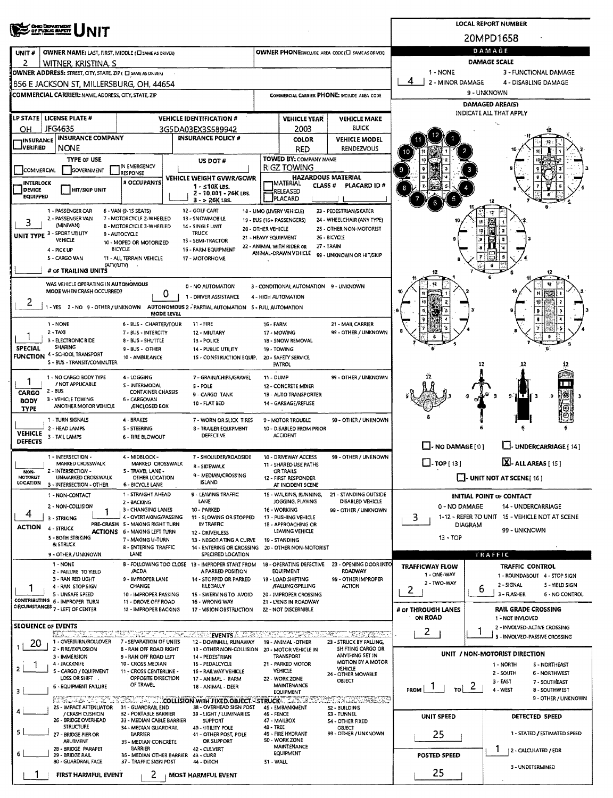| <b>ONIO DEPARTMENT</b><br>OF PUBLIC MAPETY                                                                                         |                                                                        | <b>LOCAL REPORT NUMBER</b>                                                             |                                                                             |                                                                                                                                           |                                                              |                                                                 |                                                                 |  |  |  |  |  |
|------------------------------------------------------------------------------------------------------------------------------------|------------------------------------------------------------------------|----------------------------------------------------------------------------------------|-----------------------------------------------------------------------------|-------------------------------------------------------------------------------------------------------------------------------------------|--------------------------------------------------------------|-----------------------------------------------------------------|-----------------------------------------------------------------|--|--|--|--|--|
|                                                                                                                                    |                                                                        |                                                                                        |                                                                             |                                                                                                                                           |                                                              |                                                                 | 20MPD1658                                                       |  |  |  |  |  |
| OWNER NAME: LAST, FIRST, MIDDLE (CI SAME AS DRIVER)<br>UNIT#                                                                       |                                                                        | OWNER PHONE: INCLUDE AREA CODE (E) SAME AS DRIVER!                                     | DAMAGE                                                                      |                                                                                                                                           |                                                              |                                                                 |                                                                 |  |  |  |  |  |
| 2<br>WITNER, KRISTINA, S<br>OWNER ADDRESS: STREET, CITY, STATE, ZIP ( C) SAME AS DRIVER)                                           |                                                                        |                                                                                        | <b>DAMAGE SCALE</b><br>1 - NONE<br>3 - FUNCTIONAL DAMAGE                    |                                                                                                                                           |                                                              |                                                                 |                                                                 |  |  |  |  |  |
| 1856 E JACKSON ST. MILLERSBURG. OH. 44654                                                                                          |                                                                        | 4<br>2 - MINOR DAMAGE<br>4 - DISABLING DAMAGE                                          |                                                                             |                                                                                                                                           |                                                              |                                                                 |                                                                 |  |  |  |  |  |
| <b>COMMERCIAL CARRIER: NAME, ADDRESS, CITY, STATE, ZIP</b>                                                                         |                                                                        |                                                                                        |                                                                             |                                                                                                                                           | COMMERCIAL CARRIER PHONE: INCLUDE AREA CODE                  | 9 - UNKNOWN                                                     |                                                                 |  |  |  |  |  |
|                                                                                                                                    |                                                                        |                                                                                        |                                                                             |                                                                                                                                           |                                                              | DAMAGED AREA(S)<br>INDICATE ALL THAT APPLY                      |                                                                 |  |  |  |  |  |
| LP STATE   LICENSE PLATE #                                                                                                         |                                                                        | <b>VEHICLE IDENTIFICATION #</b>                                                        |                                                                             | <b>VEHICLE YEAR</b>                                                                                                                       | <b>VEHICLE MAKE</b><br><b>BUICK</b>                          |                                                                 |                                                                 |  |  |  |  |  |
| JFG4635<br>ОН<br><b>INSURANCE COMPANY</b><br><b>INSURANCE</b>                                                                      |                                                                        | 3G5DA03EX3S589942<br><b>INSURANCE POLICY #</b>                                         |                                                                             | 2003<br><b>COLOR</b>                                                                                                                      | <b>VEHICLE MODEL</b>                                         |                                                                 |                                                                 |  |  |  |  |  |
| <b>JVERIFIED</b><br><b>NONE</b>                                                                                                    |                                                                        |                                                                                        |                                                                             | <b>RED</b>                                                                                                                                | <b>RENDEZVOUS</b>                                            |                                                                 |                                                                 |  |  |  |  |  |
| <b>TYPE OF USE</b>                                                                                                                 | IN EMERGENCY                                                           | <b>US DOT #</b>                                                                        |                                                                             | TOWED BY: COMPANY NAME<br>RIGZ TOWING                                                                                                     |                                                              |                                                                 |                                                                 |  |  |  |  |  |
| COMMERCIAL<br>GOVERNMENT                                                                                                           | <b>RESPONSE</b><br># OCCUPANTS                                         | <b>VEHICLE WEIGHT GVWR/GCWR</b>                                                        | <b>HAZARDOUS MATERIAL</b><br><b>TMATERIAL</b><br><b>CLASS #</b><br>RELEASED |                                                                                                                                           |                                                              |                                                                 |                                                                 |  |  |  |  |  |
| <b>INTERLOCK</b><br><b>DEVICE</b><br><b>HIT/SKIP UNIT</b>                                                                          |                                                                        | 1 - s10K LBS.<br>2 - 10.001 - 26K LBS.                                                 |                                                                             |                                                                                                                                           | PLACARD ID#                                                  |                                                                 |                                                                 |  |  |  |  |  |
| <b>EQUIPPED</b>                                                                                                                    |                                                                        | $3 - 26K$ LBS.                                                                         |                                                                             | <b>PLACARD</b>                                                                                                                            |                                                              |                                                                 |                                                                 |  |  |  |  |  |
| 1 - PASSENGER CAR<br>2 - PASSENGER VAN<br>3                                                                                        | 6 - VAN (9-15 SEATS)<br>7 - MOTORCÝCLE 2-WHEELED                       | 12 - GOLF CART<br>13 - SNOWMOBILE                                                      |                                                                             | 18 - LIMO (LIVERY VEHICLE)<br>19 - BUS (16+ PASSENGERS)                                                                                   | 23 - PEDESTRIAN/SKATER<br>24 - WHEELCHAIR (ANY TYPE)         |                                                                 |                                                                 |  |  |  |  |  |
| (MINIVAN)<br>UNIT TYPE 3 - SPORT UTILITY                                                                                           | <b>B - MOTORCYCLE 3-WHEELED</b><br>9 - AUTOCYCLE                       | 14 - SINGLE UNIT<br><b>TRUCK</b>                                                       | 20 - OTHER VEHICLE                                                          | 21 - HEAVY EQUIPMENT                                                                                                                      | 25 - OTHER NON-MOTORIST<br>26 - BICYCLE                      |                                                                 |                                                                 |  |  |  |  |  |
| VEHICLE<br>4 - PICK UP                                                                                                             | 10 - MOPED OR MOTORIZED<br>BICYCLE                                     | 15 - SEMI-TRACTOR<br>16 - FARM EQUIPMENT                                               |                                                                             | 22 - ANIMAL WITH RIDER OR                                                                                                                 | 27 - TRAIN                                                   |                                                                 |                                                                 |  |  |  |  |  |
| 5 - CARGO VAN                                                                                                                      | 11 - ALL TERRAIN VEHICLE                                               | 17 - MOTORHOME                                                                         |                                                                             | ANIMAL-DRAWN VEHICLE                                                                                                                      | 99 - UNKNOWN OR HIT/SKIP                                     |                                                                 |                                                                 |  |  |  |  |  |
| (ΑΤV/UTV)<br># OF TRAILING UNITS                                                                                                   |                                                                        |                                                                                        |                                                                             |                                                                                                                                           |                                                              |                                                                 | 12                                                              |  |  |  |  |  |
| WAS VEHICLE OPERATING IN AUTONOMOUS<br>MODE WHEN CRASH OCCURRED?                                                                   |                                                                        | 0 - NO AUTOMATION                                                                      |                                                                             | 3 - CONDITIONAL AUTOMATION 9 - UNKNOWN                                                                                                    |                                                              |                                                                 | 12                                                              |  |  |  |  |  |
| 2                                                                                                                                  | 0                                                                      | 1 - DRIVER ASSISTANCE                                                                  |                                                                             | 4 - HIGH AUTOMATION                                                                                                                       |                                                              |                                                                 |                                                                 |  |  |  |  |  |
|                                                                                                                                    | <b>MODE LEVEL</b>                                                      | - YES 2 - NO 9 - OTHER / UNKNOWN AUTONOMOUS 2 - PARTIAL AUTOMATION 5 - FULL AUTOMATION |                                                                             |                                                                                                                                           |                                                              |                                                                 |                                                                 |  |  |  |  |  |
| 1 - NONE<br>$2 - TAXI$                                                                                                             | 6 - BUS - CHARTER/TOUR                                                 | 11 - FIRE                                                                              | 16 - FARM                                                                   |                                                                                                                                           | 21 - MAIL CARRIER<br>99 - OTHER / UNKNOWN                    |                                                                 |                                                                 |  |  |  |  |  |
| 3 - ELECTRONIC RIDE                                                                                                                | 7 - BUS - INTERCITY<br>8 - BUS - SHUTTLE                               | 12 - MIUTARY<br>13 - POLICE                                                            |                                                                             | 17 - MOWING<br>1B - SNOW REMOVAL                                                                                                          |                                                              |                                                                 |                                                                 |  |  |  |  |  |
| <b>SHARING</b><br><b>SPECIAL</b><br>4 - SCHOOL TRANSPORT<br><b>FUNCTION</b>                                                        | 9 - BUS - OTHER<br>10 - AMBULANCE                                      | <b>14 - PUBLIC UTILITY</b><br>15 - CONSTRUCTION EQUIP.                                 |                                                                             | 19 - TOWING<br>20 - SAFETY SERVICE                                                                                                        |                                                              |                                                                 |                                                                 |  |  |  |  |  |
| S - BUS - TRANSIT/COMMUTER                                                                                                         |                                                                        |                                                                                        |                                                                             | PATROL                                                                                                                                    |                                                              |                                                                 | 12                                                              |  |  |  |  |  |
| 1 - NO CARGO BODY TYPE<br>/ NOT APPLICABLE                                                                                         | 4 - LOGGING<br>S - INTERMODAL                                          | 7 - GRAIN/CHIPS/GRAVEL<br>B - POLE                                                     | 11 - DUMP                                                                   | 12 - CONCRETE MIXER                                                                                                                       | 99 - OTHER / UNKNOWN                                         |                                                                 |                                                                 |  |  |  |  |  |
| $2 - BUS$<br>CARGO<br>3 - VEHICLE TOWING                                                                                           | <b>CONTAINER CHASSIS</b><br>9 - CARGO TANK                             |                                                                                        | 13 - AUTO TRANSPORTER                                                       |                                                                                                                                           |                                                              | 襹<br>9 H<br>Ŧ<br>9<br>- 3                                       |                                                                 |  |  |  |  |  |
| 6 - CARGOVAN<br><b>BODY</b><br>10 - FLAT BED<br>14 - GARBAGE/REFUSE<br>ANOTHER MOTOR VEHICLE<br><b>ÆNCLOSED BOX</b><br><b>TYPE</b> |                                                                        |                                                                                        |                                                                             |                                                                                                                                           |                                                              |                                                                 |                                                                 |  |  |  |  |  |
| 1 - TURN SIGNALS<br>2 - HEAD LAMPS                                                                                                 | 7 - WORN OR SLICK TIRES                                                |                                                                                        | 9 - MOTOR TROUBLE                                                           | 99 - OTHER / UNKNOWN                                                                                                                      |                                                              |                                                                 |                                                                 |  |  |  |  |  |
| <b>VEHICLE</b><br>3 - TAIL LAMPS<br><b>DEFECTS</b>                                                                                 | S - STEERING<br>6 - TIRE 81.OWOUT                                      | <b>8 - TRAILER EQUIPMENT</b><br>DEFECTIVE                                              |                                                                             | 10 - DISABLED FROM PRIOR<br><b>ACCIDENT</b>                                                                                               |                                                              |                                                                 |                                                                 |  |  |  |  |  |
|                                                                                                                                    | 4 - MIDBLOCK -                                                         |                                                                                        |                                                                             |                                                                                                                                           |                                                              | LI-NO DAMAGE[0]                                                 | L.J. UNDERCARRIAGE [ 14 ]                                       |  |  |  |  |  |
| 1 - INTERSECTION -<br>MARKED CROSSWALK                                                                                             | 7 - SHOULDER/ROADSIDE<br>MARKED CROSSWALK<br>8 - SIDEWALK              |                                                                                        | 10 - DRIVEWAY ACCESS<br>11 - SHARED USE PATHS<br>OR TRAILS                  | 99 - OTHER / UNKNOWN                                                                                                                      | $\Box$ -TOP [13]                                             | X-ALL AREAS [15]                                                |                                                                 |  |  |  |  |  |
| 2 - INTERSECTION -<br>NON-<br><b>MOTORIST</b><br>UNMARKED CROSSWALK<br>LOCATION                                                    | 5 - TRAVEL LANE -<br>OTHER LOCATION                                    |                                                                                        |                                                                             | $\Box$ - UNIT NOT AT SCENE[16]                                                                                                            |                                                              |                                                                 |                                                                 |  |  |  |  |  |
| 3 - INTERSECTION - OTHER<br>1 - NON-CONTACT                                                                                        | 6 - BICYCLE LANE<br>1 - STRAIGHT AHEAD                                 | <b>ISLAND</b><br>9 - LEAVING TRAFFIC                                                   |                                                                             | AT INCIDENT SCENE<br>15 - WALKING, RUNNING,                                                                                               | 21 - STANDING OUTSIDE                                        |                                                                 | <b>INITIAL POINT OF CONTACT</b>                                 |  |  |  |  |  |
| 2 - NON-COLLISION                                                                                                                  | 2 - BACKING<br>3 - CHANGING LANES                                      | LANE<br>10 - PARKED                                                                    |                                                                             | JOGGING, PLAYING<br>16 - WORKING                                                                                                          | DISABLED VEHICLE<br>99 - OTHER / UNKNOWN                     | 0 - NO DAMAGE                                                   | <b>14 - UNDERCARRIAGE</b>                                       |  |  |  |  |  |
| 4<br>3 - STRIKING                                                                                                                  | 4 - OVERTAKING/PASSING                                                 | 11 - SLOWING OR STOPPED                                                                |                                                                             | 17 - PUSHING VEHICLE                                                                                                                      |                                                              | 3.<br>1-12 - REFER TO UNIT 15 - VEHICLE NOT AT SCENE<br>DIAGRAM |                                                                 |  |  |  |  |  |
| <b>ACTION</b><br>4 - STRUCK                                                                                                        | PRE-CRASH 5 - MAKING RIGHT TURN<br><b>ACTIONS 6 - MAKING LEFT TURN</b> | IN TRAFFIC<br>12 - DRIVERLESS                                                          |                                                                             | 1B - APPROACHING OR<br>LEAVING VEHICLE                                                                                                    |                                                              | 99 - UNKNOWN<br>$13 - TOP$                                      |                                                                 |  |  |  |  |  |
| 5 - BOTH STRIKING<br><b>&amp; STRUCK</b>                                                                                           | 7 - MAKING U-TURN<br><b>B - ENTERING TRAFFIC</b>                       | 13 - NEGOTIATING A CURVE<br>14 - ENTERING OR CROSSING                                  |                                                                             | 19 - STANDING<br>20 - OTHER NON-MOTORIST                                                                                                  |                                                              |                                                                 |                                                                 |  |  |  |  |  |
| 9 - OTHER / UNKNOWN<br>1 - NONE                                                                                                    | LANE                                                                   | SPECIFIED LOCATION<br>B - FOLLOWING TOO CLOSE 13 - IMPROPER START FROM                 |                                                                             | 18 - OPERATING DEFECTIVE                                                                                                                  | 23 - OPENING DOOR INTO                                       |                                                                 | TRAFFIC                                                         |  |  |  |  |  |
| 2 - FAILURE TO YIELD                                                                                                               | /ACDA                                                                  | A PARKED POSITION                                                                      |                                                                             | EQUIPMENT                                                                                                                                 | <b>ROADWAY</b>                                               | <b>TRAFFICWAY FLOW</b><br>1 - ONE-WAY                           | <b>TRAFFIC CONTROL</b><br>1 - ROUNDABOUT 4 - STOP SIGN          |  |  |  |  |  |
| 3 - RAN RED UGHT<br>4 - RAN STOP SIGN                                                                                              | 9 - IMPROPER LANE<br>CHANGE                                            | 14 - STOPPED OR PARKED<br><b>ILLEGALLY</b>                                             |                                                                             | 19 - LOAD SHIFTING<br><b>FALUNG/SPILLING</b>                                                                                              | 99 - OTHER IMPROPER<br><b>ACTION</b>                         | 2 - TWO-WAY<br>2                                                | 2 - SIGNAL<br>5 - YIELD SIGN<br>6                               |  |  |  |  |  |
| 5 - UNSAFE SPEED<br>CONTRIBUTING 6 - IMPROPER TURN                                                                                 | 10 - IMPROPER PASSING<br>11 - DROVE OFF ROAD                           | 15 - SWERVING TO AVOID<br>16 - WRONG WAY                                               |                                                                             | 20 - IMPROPER CROSSING<br>21 - LYING IN ROADWAY                                                                                           |                                                              |                                                                 | 3 - FLASHER<br>6 - NO CONTROL                                   |  |  |  |  |  |
| CIRCUMSTANCES 7 - LEFT OF CENTER                                                                                                   | 12 - IMPROPER BACKING                                                  | 17 - VISION OBSTRUCTION                                                                |                                                                             | 22 - NOT DISCERNIBLE                                                                                                                      |                                                              | # OF THROUGH LANES<br>ON ROAD                                   | <b>RAIL GRADE CROSSING</b><br>1 - NOT INVLOVED                  |  |  |  |  |  |
| <b>SEQUENCE OF EVENTS</b><br>ে সাক্ষর যা                                                                                           |                                                                        |                                                                                        |                                                                             |                                                                                                                                           |                                                              | 2                                                               | 2 - INVOLVED-ACTIVE CROSSING<br>ı                               |  |  |  |  |  |
| SE 20<br>1 - OVERTURN/ROLLOVER<br>20                                                                                               | र एक एक स्थान<br>7 - SEPARATION OF UNITS                               | <b>EVENTS</b><br>12 - DOWNHILL RUNAWAY                                                 |                                                                             | <u> 1530 - 1640 - 1640 - 1650 - 1650 - 1650 - 1650 - 1650 - 1650 - 1650 - 1650 - 1650 - 1650 - 1650 - 1650 - 16</u><br>19 - ANIMAL -OTHER | <b>NEW YEARS</b><br>್ಲಿ ಪ್ಲಿಕ್ ಸ್<br>23 - STRUCK BY FALLING, |                                                                 | 3 - INVOLVED-PASSIVE CROSSING                                   |  |  |  |  |  |
| 2 - FIRE/EXPLOSION<br>3 - IMMERSION                                                                                                | <b>B - RAN OFF ROAD RIGHT</b><br>9 - RAN OFF ROAD LEFT                 | 13 - OTHER NON-COLLISION<br>14 - PEDESTRIAN                                            |                                                                             | 20 - MOTOR VEHICLE IN<br>TRANSPORT                                                                                                        | SHIFTING CARGO OR<br>ANYTHING SET IN                         |                                                                 | UNIT / NON-MOTORIST DIRECTION                                   |  |  |  |  |  |
| 4 - JACKKNIFE<br>1<br>2<br>S - CARGO / EQUIPMENT                                                                                   | 10 - CROSS MEDIAN<br>11 - CROSS CENTERLINE -                           | 15 - PEDALCYCLE<br>16 - RAILWAY VEHICLE                                                |                                                                             | 21 - PARKED MOTOR<br>VEHICLE                                                                                                              | MOTION BY A MOTOR<br>VEHICLE<br>24 - OTHER MOVABLE           |                                                                 | 1 - NORTH<br>S - NORTHEAST<br>2 - SOUTH<br><b>6 - NORTHWEST</b> |  |  |  |  |  |
| LOSS OR SHIFT .<br><b>6 - EQUIPMENT FAILURE</b>                                                                                    | OPPOSITE DIRECTION<br>OF TRAVEL                                        | 17 - ANIMAL - FARM<br>18 - ANIMAL - DEER                                               |                                                                             | 22 - WORK ZONE<br>MAINTENANCE                                                                                                             | OBJECT                                                       |                                                                 | 3 - EAST<br>7 - SOUTHEAST                                       |  |  |  |  |  |
| 3                                                                                                                                  |                                                                        | <b>ET SET AND THE TELL THE COLLISION WITH FIXED OBJECT - STRUCK THAT A TELL</b>        |                                                                             | <b>EQUIPMENT</b>                                                                                                                          | 22CON TRACTASERS                                             | $\frac{1}{10}$ 2<br>$F_{\rm ROM}$   $\frac{1}{1}$               | 4 - WEST<br>8 - SOUTHWEST<br>9 - OTHER / UNKNOWN                |  |  |  |  |  |
| 25 - IMPACT ATTENUATOR<br>/ CRASH CUSHION                                                                                          | 31 - GUARDRAIL END<br>32 - PORTABLE BARRIER                            | 38 - OVERHEAD SIGN POST<br>39 - LIGHT / LUMINARIES                                     | 45 - EMBANKMENT<br><b>46 - FENCE</b><br>47 - MAILBOX<br>48 - TREE           |                                                                                                                                           | 52 - BUILDING                                                |                                                                 |                                                                 |  |  |  |  |  |
| 26 - BRIDGE OVERHEAD<br><b>STRUCTURE</b>                                                                                           | 33 - MEDIAN CABLE BARRIER<br>34 - MEDIAN GUARDRAIL                     | SUPPORT<br>40 - UTILITY POLE                                                           |                                                                             |                                                                                                                                           | S3 - TUNNEL<br>54 - OTHER FIXED<br><b>OBJECT</b>             | UNIT SPEED                                                      | DETECTED SPEED                                                  |  |  |  |  |  |
| 5<br>27 - BRIDGE PIER OR                                                                                                           | BARRIER                                                                | 41 - OTHER POST, POLE<br>OR SUPPORT                                                    |                                                                             | 49 - FIRE HYDRANT<br>SO - WORK ZONE                                                                                                       | 99 - OTHER / UNKNOWN                                         | 25                                                              | 1 - STATED / ESTIMATED SPEED                                    |  |  |  |  |  |
| <b>ABUTMENT</b><br>28 - BRIDGE PARAPET<br>6                                                                                        | 35 - MEDIAN CONCRETE<br>BARRIER                                        | 42 - CULVERT                                                                           |                                                                             | <b>MAINTENANCE</b><br><b>EQUIPMENT</b>                                                                                                    |                                                              | <b>POSTED SPEED</b>                                             | 2 - CALCULATED / EDR                                            |  |  |  |  |  |
| 29 - BRIDGE RAIL<br>30 - GUARDRAIL FACE                                                                                            | 36 MEDIAN OTHER BARRIER<br>37 - TRAFFIC SIGN POST                      | 43 - CURB<br>44 - DITCH                                                                | 51 - WALL                                                                   |                                                                                                                                           |                                                              |                                                                 | 3 - UNDETERMINED                                                |  |  |  |  |  |
| FIRST HARMFUL EVENT                                                                                                                | 25                                                                     |                                                                                        |                                                                             |                                                                                                                                           |                                                              |                                                                 |                                                                 |  |  |  |  |  |